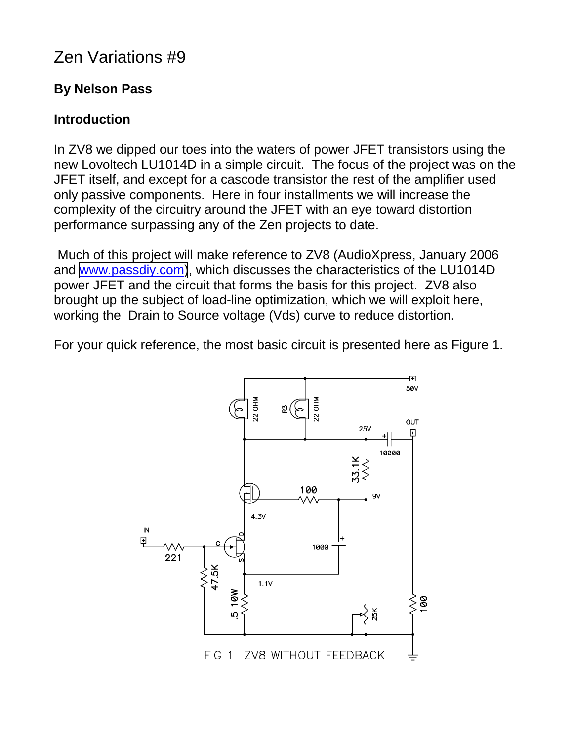# Zen Variations #9

# **By Nelson Pass**

# **Introduction**

In ZV8 we dipped our toes into the waters of power JFET transistors using the new Lovoltech LU1014D in a simple circuit. The focus of the project was on the JFET itself, and except for a cascode transistor the rest of the amplifier used only passive components. Here in four installments we will increase the complexity of the circuitry around the JFET with an eye toward distortion performance surpassing any of the Zen projects to date.

 Much of this project will make reference to ZV8 (AudioXpress, January 2006 and [www.passdiy.com\)](http://www.passdiy.com/), which discusses the characteristics of the LU1014D power JFET and the circuit that forms the basis for this project. ZV8 also brought up the subject of load-line optimization, which we will exploit here, working the Drain to Source voltage (Vds) curve to reduce distortion.

For your quick reference, the most basic circuit is presented here as Figure 1.

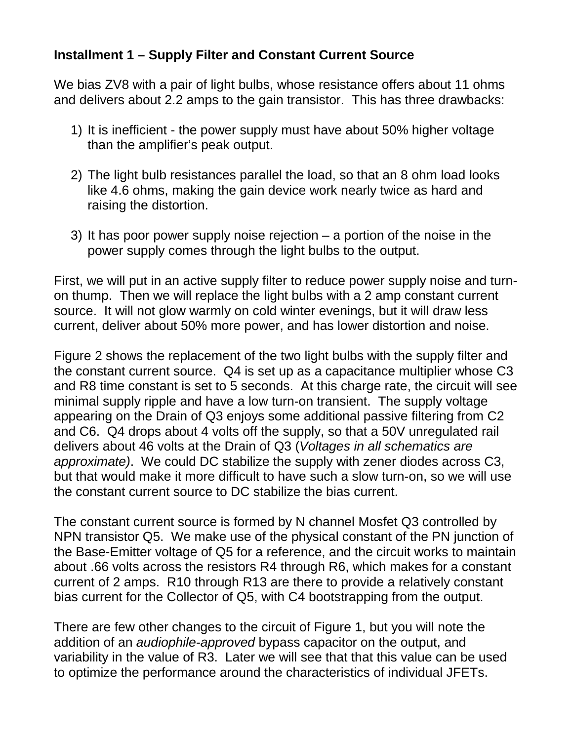#### **Installment 1 – Supply Filter and Constant Current Source**

We bias ZV8 with a pair of light bulbs, whose resistance offers about 11 ohms and delivers about 2.2 amps to the gain transistor. This has three drawbacks:

- 1) It is inefficient the power supply must have about 50% higher voltage than the amplifier's peak output.
- 2) The light bulb resistances parallel the load, so that an 8 ohm load looks like 4.6 ohms, making the gain device work nearly twice as hard and raising the distortion.
- 3) It has poor power supply noise rejection a portion of the noise in the power supply comes through the light bulbs to the output.

First, we will put in an active supply filter to reduce power supply noise and turnon thump. Then we will replace the light bulbs with a 2 amp constant current source. It will not glow warmly on cold winter evenings, but it will draw less current, deliver about 50% more power, and has lower distortion and noise.

Figure 2 shows the replacement of the two light bulbs with the supply filter and the constant current source. Q4 is set up as a capacitance multiplier whose C3 and R8 time constant is set to 5 seconds. At this charge rate, the circuit will see minimal supply ripple and have a low turn-on transient. The supply voltage appearing on the Drain of Q3 enjoys some additional passive filtering from C2 and C6. Q4 drops about 4 volts off the supply, so that a 50V unregulated rail delivers about 46 volts at the Drain of Q3 (*Voltages in all schematics are approximate)*. We could DC stabilize the supply with zener diodes across C3, but that would make it more difficult to have such a slow turn-on, so we will use the constant current source to DC stabilize the bias current.

The constant current source is formed by N channel Mosfet Q3 controlled by NPN transistor Q5. We make use of the physical constant of the PN junction of the Base-Emitter voltage of Q5 for a reference, and the circuit works to maintain about .66 volts across the resistors R4 through R6, which makes for a constant current of 2 amps. R10 through R13 are there to provide a relatively constant bias current for the Collector of Q5, with C4 bootstrapping from the output.

There are few other changes to the circuit of Figure 1, but you will note the addition of an *audiophile-approved* bypass capacitor on the output, and variability in the value of R3. Later we will see that that this value can be used to optimize the performance around the characteristics of individual JFETs.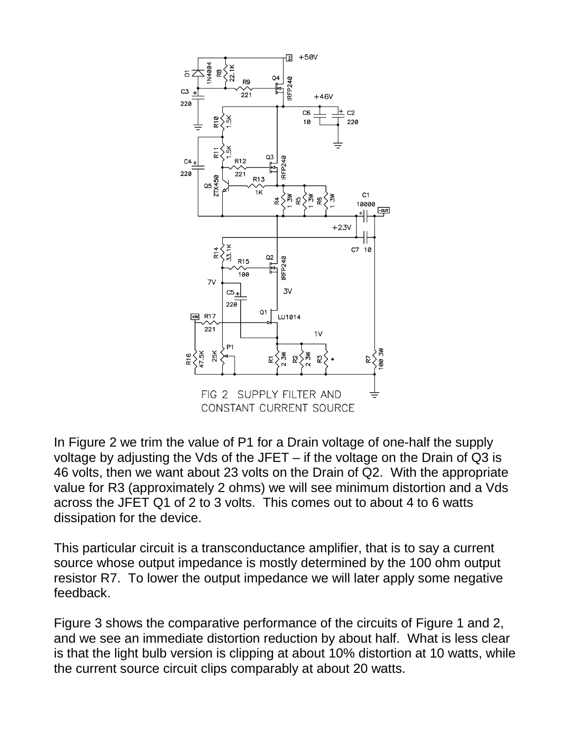

In Figure 2 we trim the value of P1 for a Drain voltage of one-half the supply voltage by adjusting the Vds of the JFET – if the voltage on the Drain of Q3 is 46 volts, then we want about 23 volts on the Drain of Q2. With the appropriate value for R3 (approximately 2 ohms) we will see minimum distortion and a Vds across the JFET Q1 of 2 to 3 volts. This comes out to about 4 to 6 watts dissipation for the device.

This particular circuit is a transconductance amplifier, that is to say a current source whose output impedance is mostly determined by the 100 ohm output resistor R7. To lower the output impedance we will later apply some negative feedback.

Figure 3 shows the comparative performance of the circuits of Figure 1 and 2, and we see an immediate distortion reduction by about half. What is less clear is that the light bulb version is clipping at about 10% distortion at 10 watts, while the current source circuit clips comparably at about 20 watts.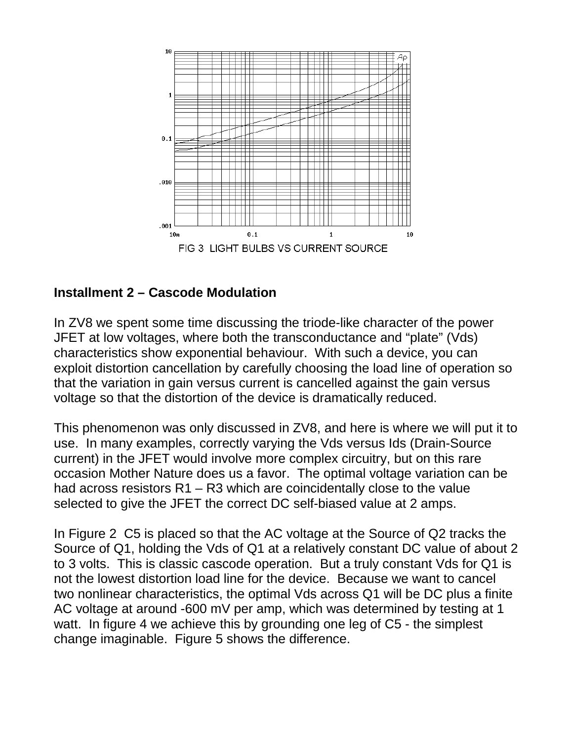

#### **Installment 2 – Cascode Modulation**

In ZV8 we spent some time discussing the triode-like character of the power JFET at low voltages, where both the transconductance and "plate" (Vds) characteristics show exponential behaviour. With such a device, you can exploit distortion cancellation by carefully choosing the load line of operation so that the variation in gain versus current is cancelled against the gain versus voltage so that the distortion of the device is dramatically reduced.

This phenomenon was only discussed in ZV8, and here is where we will put it to use. In many examples, correctly varying the Vds versus Ids (Drain-Source current) in the JFET would involve more complex circuitry, but on this rare occasion Mother Nature does us a favor. The optimal voltage variation can be had across resistors R1 – R3 which are coincidentally close to the value selected to give the JFET the correct DC self-biased value at 2 amps.

In Figure 2 C5 is placed so that the AC voltage at the Source of Q2 tracks the Source of Q1, holding the Vds of Q1 at a relatively constant DC value of about 2 to 3 volts. This is classic cascode operation. But a truly constant Vds for Q1 is not the lowest distortion load line for the device. Because we want to cancel two nonlinear characteristics, the optimal Vds across Q1 will be DC plus a finite AC voltage at around -600 mV per amp, which was determined by testing at 1 watt. In figure 4 we achieve this by grounding one leg of C5 - the simplest change imaginable. Figure 5 shows the difference.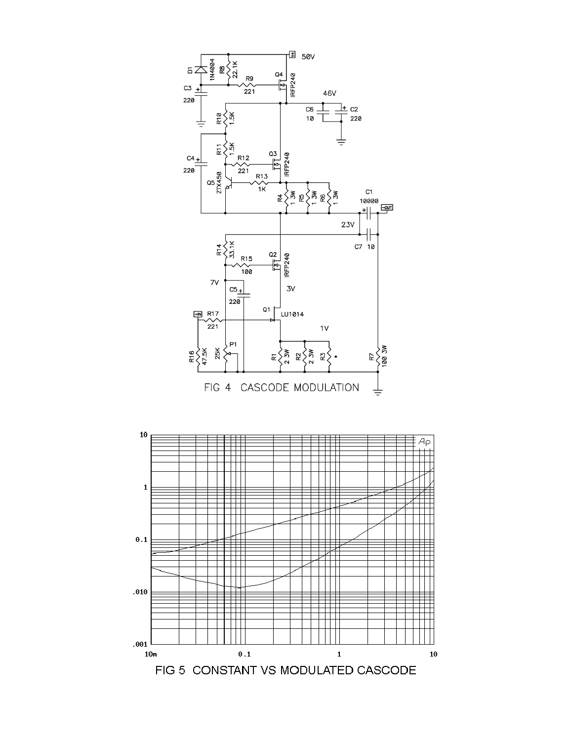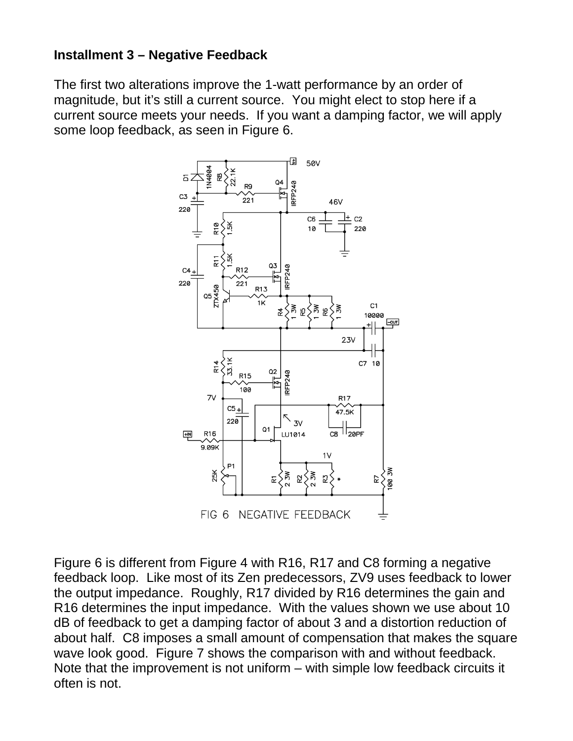#### **Installment 3 – Negative Feedback**

The first two alterations improve the 1-watt performance by an order of magnitude, but it's still a current source. You might elect to stop here if a current source meets your needs. If you want a damping factor, we will apply some loop feedback, as seen in Figure 6.



Figure 6 is different from Figure 4 with R16, R17 and C8 forming a negative feedback loop. Like most of its Zen predecessors, ZV9 uses feedback to lower the output impedance. Roughly, R17 divided by R16 determines the gain and R16 determines the input impedance. With the values shown we use about 10 dB of feedback to get a damping factor of about 3 and a distortion reduction of about half. C8 imposes a small amount of compensation that makes the square wave look good. Figure 7 shows the comparison with and without feedback. Note that the improvement is not uniform – with simple low feedback circuits it often is not.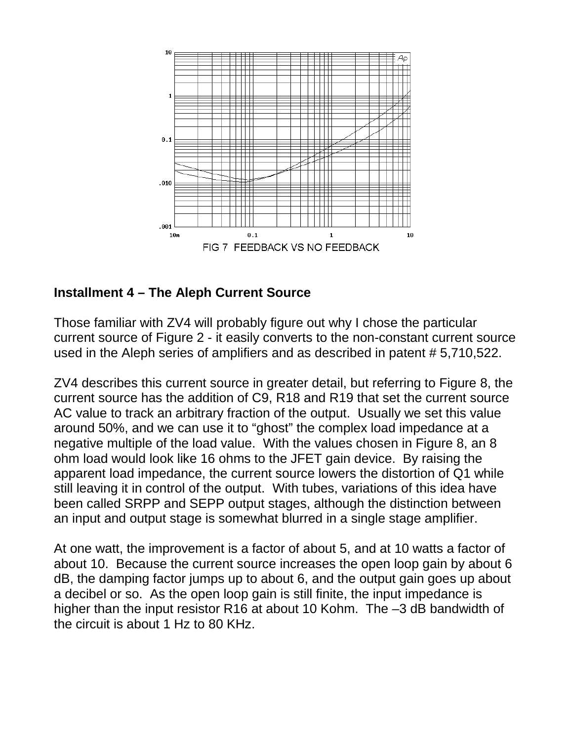

## **Installment 4 – The Aleph Current Source**

Those familiar with ZV4 will probably figure out why I chose the particular current source of Figure 2 - it easily converts to the non-constant current source used in the Aleph series of amplifiers and as described in patent # 5,710,522.

ZV4 describes this current source in greater detail, but referring to Figure 8, the current source has the addition of C9, R18 and R19 that set the current source AC value to track an arbitrary fraction of the output. Usually we set this value around 50%, and we can use it to "ghost" the complex load impedance at a negative multiple of the load value. With the values chosen in Figure 8, an 8 ohm load would look like 16 ohms to the JFET gain device. By raising the apparent load impedance, the current source lowers the distortion of Q1 while still leaving it in control of the output. With tubes, variations of this idea have been called SRPP and SEPP output stages, although the distinction between an input and output stage is somewhat blurred in a single stage amplifier.

At one watt, the improvement is a factor of about 5, and at 10 watts a factor of about 10. Because the current source increases the open loop gain by about 6 dB, the damping factor jumps up to about 6, and the output gain goes up about a decibel or so. As the open loop gain is still finite, the input impedance is higher than the input resistor R16 at about 10 Kohm. The -3 dB bandwidth of the circuit is about 1 Hz to 80 KHz.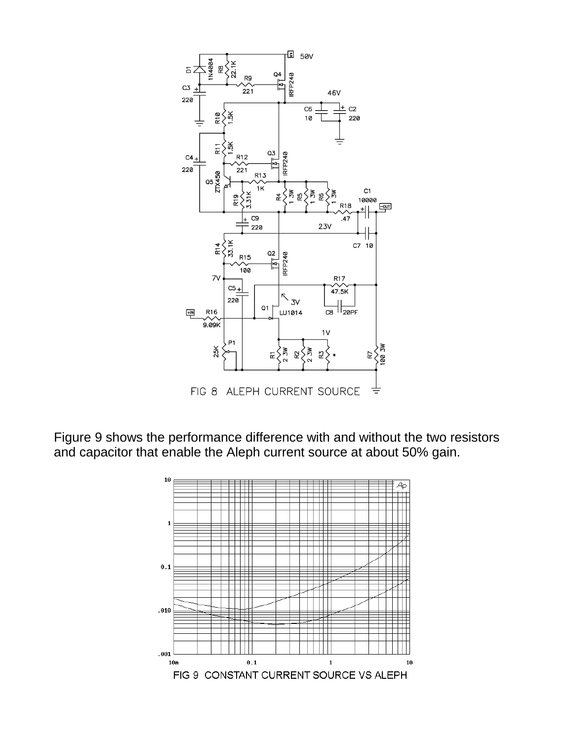

Figure 9 shows the performance difference with and without the two resistors and capacitor that enable the Aleph current source at about 50% gain.

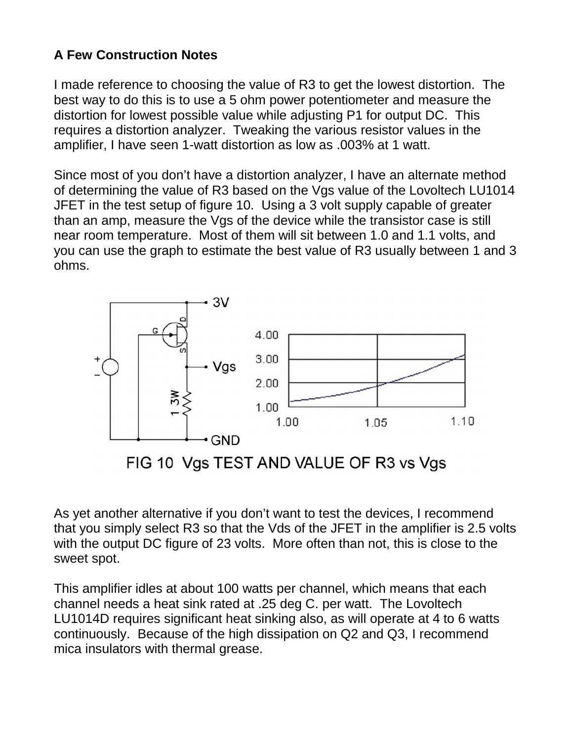## **A Few Construction Notes**

I made reference to choosing the value of R3 to get the lowest distortion. The best way to do this is to use a 5 ohm power potentiometer and measure the distortion for lowest possible value while adjusting P1 for output DC. This requires a distortion analyzer. Tweaking the various resistor values in the amplifier, I have seen 1-watt distortion as low as .003% at 1 watt.

Since most of you don't have a distortion analyzer, I have an alternate method of determining the value of R3 based on the Vgs value of the Lovoltech LU1014 JFET in the test setup of figure 10. Using a 3 volt supply capable of greater than an amp, measure the Vgs of the device while the transistor case is still near room temperature. Most of them will sit between 1.0 and 1.1 volts, and you can use the graph to estimate the best value of R3 usually between 1 and 3 ohms.



FIG 10 Vgs TEST AND VALUE OF R3 vs Vgs

As yet another alternative if you don't want to test the devices, I recommend that you simply select R3 so that the Vds of the JFET in the amplifier is 2.5 volts with the output DC figure of 23 volts. More often than not, this is close to the sweet spot.

This amplifier idles at about 100 watts per channel, which means that each channel needs a heat sink rated at .25 deg C. per watt. The Lovoltech LU1014D requires significant heat sinking also, as will operate at 4 to 6 watts continuously. Because of the high dissipation on Q2 and Q3, I recommend mica insulators with thermal grease.